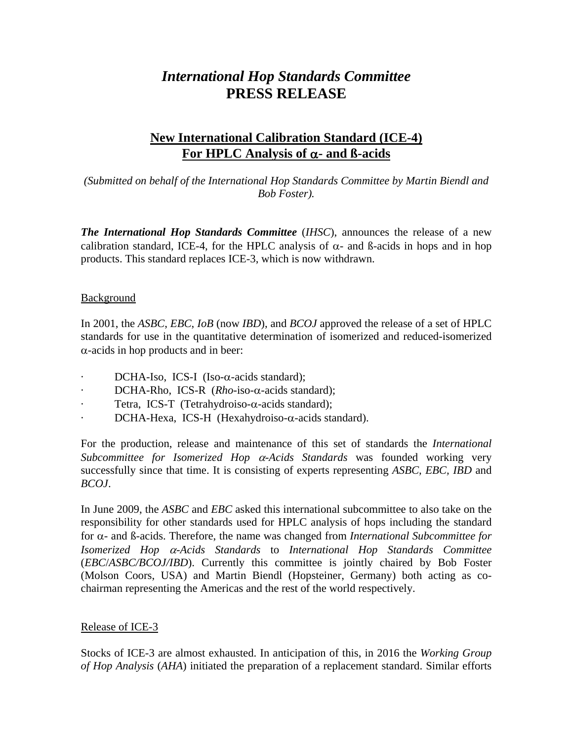# *International Hop Standards Committee* **PRESS RELEASE**

## **New International Calibration Standard (ICE-4) For HPLC Analysis of** α**- and ß-acids**

*(Submitted on behalf of the International Hop Standards Committee by Martin Biendl and Bob Foster).*

*The International Hop Standards Committee* (*IHSC*), announces the release of a new calibration standard, ICE-4, for the HPLC analysis of  $\alpha$ - and β-acids in hops and in hop products. This standard replaces ICE-3, which is now withdrawn.

### Background

In 2001, the *ASBC*, *EBC*, *IoB* (now *IBD*), and *BCOJ* approved the release of a set of HPLC standards for use in the quantitative determination of isomerized and reduced-isomerized  $\alpha$ -acids in hop products and in beer:

- DCHA-Iso, ICS-I (Iso- $\alpha$ -acids standard);
- DCHA-Rho, ICS-R (*Rho*-iso-α-acids standard);
- Tetra, ICS-T (Tetrahydroiso-α-acids standard);
- DCHA-Hexa, ICS-H (Hexahydroiso-α-acids standard).

For the production, release and maintenance of this set of standards the *International Subcommittee for Isomerized Hop* α*-Acids Standards* was founded working very successfully since that time. It is consisting of experts representing *ASBC, EBC, IBD* and *BCOJ*.

In June 2009, the *ASBC* and *EBC* asked this international subcommittee to also take on the responsibility for other standards used for HPLC analysis of hops including the standard for α- and ß-acids. Therefore, the name was changed from *International Subcommittee for Isomerized Hop* α*-Acids Standards* to *International Hop Standards Committee* (*EBC*/*ASBC/BCOJ/IBD*). Currently this committee is jointly chaired by Bob Foster (Molson Coors, USA) and Martin Biendl (Hopsteiner, Germany) both acting as cochairman representing the Americas and the rest of the world respectively.

## Release of ICE-3

Stocks of ICE-3 are almost exhausted. In anticipation of this, in 2016 the *Working Group of Hop Analysis* (*AHA*) initiated the preparation of a replacement standard. Similar efforts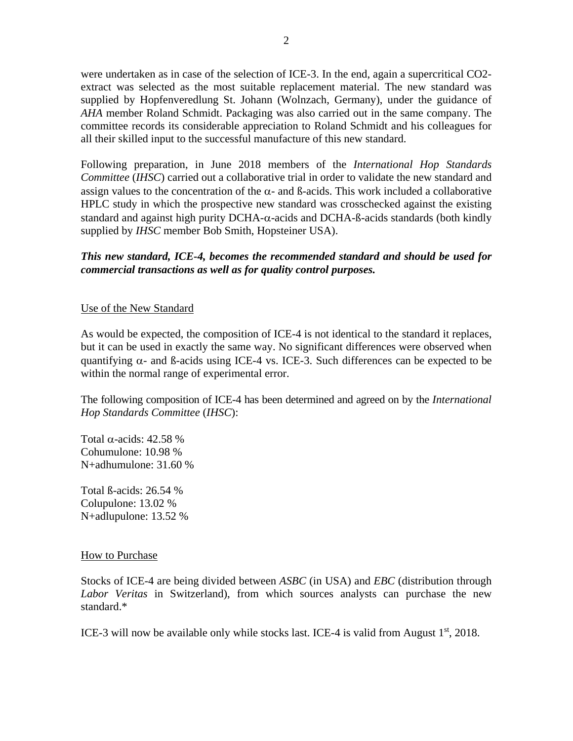were undertaken as in case of the selection of ICE-3. In the end, again a supercritical CO2 extract was selected as the most suitable replacement material. The new standard was supplied by Hopfenveredlung St. Johann (Wolnzach, Germany), under the guidance of *AHA* member Roland Schmidt. Packaging was also carried out in the same company. The committee records its considerable appreciation to Roland Schmidt and his colleagues for all their skilled input to the successful manufacture of this new standard.

Following preparation, in June 2018 members of the *International Hop Standards Committee* (*IHSC*) carried out a collaborative trial in order to validate the new standard and assign values to the concentration of the  $\alpha$ - and  $\beta$ -acids. This work included a collaborative HPLC study in which the prospective new standard was crosschecked against the existing standard and against high purity DCHA-α-acids and DCHA-ß-acids standards (both kindly supplied by *IHSC* member Bob Smith, Hopsteiner USA).

#### *This new standard, ICE-4, becomes the recommended standard and should be used for commercial transactions as well as for quality control purposes.*

#### Use of the New Standard

As would be expected, the composition of ICE-4 is not identical to the standard it replaces, but it can be used in exactly the same way. No significant differences were observed when quantifying  $\alpha$ - and  $\beta$ -acids using ICE-4 vs. ICE-3. Such differences can be expected to be within the normal range of experimental error.

The following composition of ICE-4 has been determined and agreed on by the *International Hop Standards Committee* (*IHSC*):

Total α-acids: 42.58 % Cohumulone: 10.98 % N+adhumulone: 31.60 %

Total ß-acids: 26.54 % Colupulone: 13.02 % N+adlupulone: 13.52 %

#### How to Purchase

Stocks of ICE-4 are being divided between *ASBC* (in USA) and *EBC* (distribution through *Labor Veritas* in Switzerland), from which sources analysts can purchase the new standard.\*

ICE-3 will now be available only while stocks last. ICE-4 is valid from August  $1<sup>st</sup>$ , 2018.